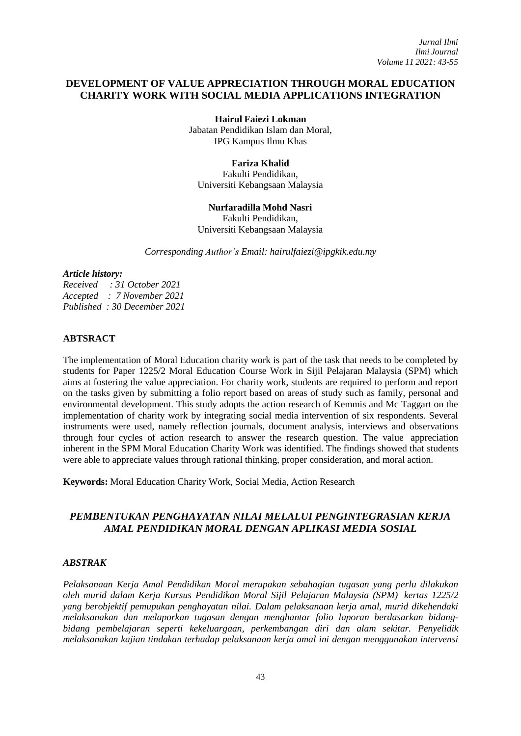# **DEVELOPMENT OF VALUE APPRECIATION THROUGH MORAL EDUCATION CHARITY WORK WITH SOCIAL MEDIA APPLICATIONS INTEGRATION**

**Hairul Faiezi Lokman** Jabatan Pendidikan Islam dan Moral, IPG Kampus Ilmu Khas

# **Fariza Khalid**

Fakulti Pendidikan, Universiti Kebangsaan Malaysia

#### **Nurfaradilla Mohd Nasri**

Fakulti Pendidikan, Universiti Kebangsaan Malaysia

*Corresponding Author's Email: [hairulfaiezi@ipgkik.edu.my](mailto:hairulfaiezi@ipgkik.edu.my)*

#### *Article history:*

*Received : 31 October 2021 Accepted : 7 November 2021 Published : 30 December 2021*

# **ABTSRACT**

The implementation of Moral Education charity work is part of the task that needs to be completed by students for Paper 1225/2 Moral Education Course Work in Sijil Pelajaran Malaysia (SPM) which aims at fostering the value appreciation. For charity work, students are required to perform and report on the tasks given by submitting a folio report based on areas of study such as family, personal and environmental development. This study adopts the action research of Kemmis and Mc Taggart on the implementation of charity work by integrating social media intervention of six respondents. Several instruments were used, namely reflection journals, document analysis, interviews and observations through four cycles of action research to answer the research question. The value appreciation inherent in the SPM Moral Education Charity Work was identified. The findings showed that students were able to appreciate values through rational thinking, proper consideration, and moral action.

**Keywords:** Moral Education Charity Work, Social Media, Action Research

# *PEMBENTUKAN PENGHAYATAN NILAI MELALUI PENGINTEGRASIAN KERJA AMAL PENDIDIKAN MORAL DENGAN APLIKASI MEDIA SOSIAL*

## *ABSTRAK*

*Pelaksanaan Kerja Amal Pendidikan Moral merupakan sebahagian tugasan yang perlu dilakukan oleh murid dalam Kerja Kursus Pendidikan Moral Sijil Pelajaran Malaysia (SPM) kertas 1225/2 yang berobjektif pemupukan penghayatan nilai. Dalam pelaksanaan kerja amal, murid dikehendaki melaksanakan dan melaporkan tugasan dengan menghantar folio laporan berdasarkan bidangbidang pembelajaran seperti kekeluargaan, perkembangan diri dan alam sekitar. Penyelidik melaksanakan kajian tindakan terhadap pelaksanaan kerja amal ini dengan menggunakan intervensi*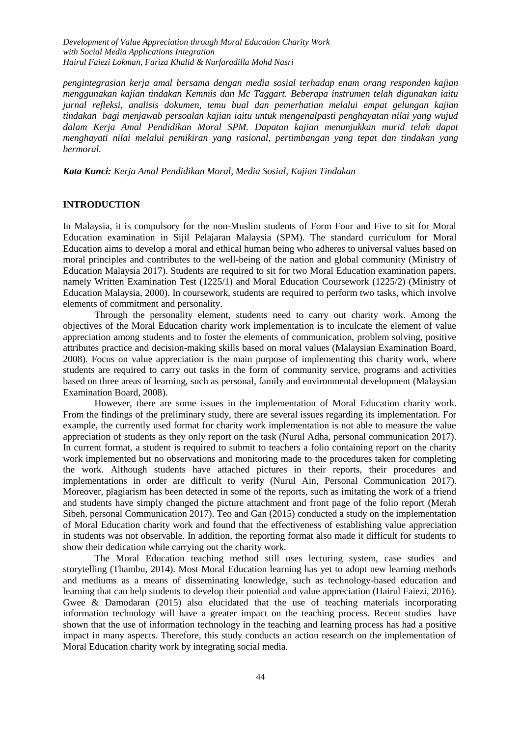*pengintegrasian kerja amal bersama dengan media sosial terhadap enam orang responden kajian menggunakan kajian tindakan Kemmis dan Mc Taggart. Beberapa instrumen telah digunakan iaitu jurnal refleksi, analisis dokumen, temu bual dan pemerhatian melalui empat gelungan kajian tindakan bagi menjawab persoalan kajian iaitu untuk mengenalpasti penghayatan nilai yang wujud dalam Kerja Amal Pendidikan Moral SPM. Dapatan kajian menunjukkan murid telah dapat menghayati nilai melalui pemikiran yang rasional, pertimbangan yang tepat dan tindakan yang bermoral.*

*Kata Kunci: Kerja Amal Pendidikan Moral, Media Sosial, Kajian Tindakan*

### **INTRODUCTION**

In Malaysia, it is compulsory for the non-Muslim students of Form Four and Five to sit for Moral Education examination in Sijil Pelajaran Malaysia (SPM). The standard curriculum for Moral Education aims to develop a moral and ethical human being who adheres to universal values based on moral principles and contributes to the well-being of the nation and global community (Ministry of Education Malaysia 2017). Students are required to sit for two Moral Education examination papers, namely Written Examination Test (1225/1) and Moral Education Coursework (1225/2) (Ministry of Education Malaysia, 2000). In coursework, students are required to perform two tasks, which involve elements of commitment and personality.

Through the personality element, students need to carry out charity work. Among the objectives of the Moral Education charity work implementation is to inculcate the element of value appreciation among students and to foster the elements of communication, problem solving, positive attributes practice and decision-making skills based on moral values (Malaysian Examination Board, 2008). Focus on value appreciation is the main purpose of implementing this charity work, where students are required to carry out tasks in the form of community service, programs and activities based on three areas of learning, such as personal, family and environmental development (Malaysian Examination Board, 2008).

However, there are some issues in the implementation of Moral Education charity work. From the findings of the preliminary study, there are several issues regarding its implementation. For example, the currently used format for charity work implementation is not able to measure the value appreciation of students as they only report on the task (Nurul Adha, personal communication 2017). In current format, a student is required to submit to teachers a folio containing report on the charity work implemented but no observations and monitoring made to the procedures taken for completing the work. Although students have attached pictures in their reports, their procedures and implementations in order are difficult to verify (Nurul Ain, Personal Communication 2017). Moreover, plagiarism has been detected in some of the reports, such as imitating the work of a friend and students have simply changed the picture attachment and front page of the folio report (Merah Sibeh, personal Communication 2017). Teo and Gan (2015) conducted a study on the implementation of Moral Education charity work and found that the effectiveness of establishing value appreciation in students was not observable. In addition, the reporting format also made it difficult for students to show their dedication while carrying out the charity work.

The Moral Education teaching method still uses lecturing system, case studies and storytelling (Thambu, 2014). Most Moral Education learning has yet to adopt new learning methods and mediums as a means of disseminating knowledge, such as technology-based education and learning that can help students to develop their potential and value appreciation (Hairul Faiezi, 2016). Gwee & Damodaran (2015) also elucidated that the use of teaching materials incorporating information technology will have a greater impact on the teaching process. Recent studies have shown that the use of information technology in the teaching and learning process has had a positive impact in many aspects. Therefore, this study conducts an action research on the implementation of Moral Education charity work by integrating social media.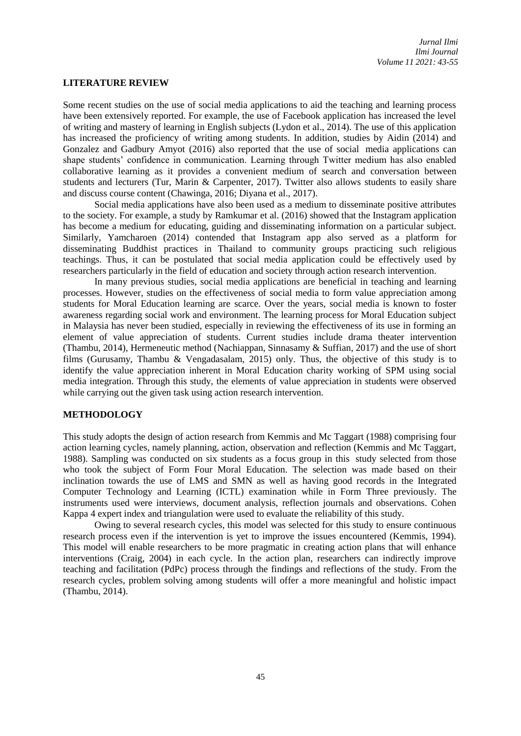## **LITERATURE REVIEW**

Some recent studies on the use of social media applications to aid the teaching and learning process have been extensively reported. For example, the use of Facebook application has increased the level of writing and mastery of learning in English subjects (Lydon et al., 2014). The use of this application has increased the proficiency of writing among students. In addition, studies by Aidin (2014) and Gonzalez and Gadbury Amyot (2016) also reported that the use of social media applications can shape students' confidence in communication. Learning through Twitter medium has also enabled collaborative learning as it provides a convenient medium of search and conversation between students and lecturers (Tur, Marin & Carpenter, 2017). Twitter also allows students to easily share and discuss course content (Chawinga, 2016; Diyana et al., 2017).

Social media applications have also been used as a medium to disseminate positive attributes to the society. For example, a study by Ramkumar et al. (2016) showed that the Instagram application has become a medium for educating, guiding and disseminating information on a particular subject. Similarly, Yamcharoen (2014) contended that Instagram app also served as a platform for disseminating Buddhist practices in Thailand to community groups practicing such religious teachings. Thus, it can be postulated that social media application could be effectively used by researchers particularly in the field of education and society through action research intervention.

In many previous studies, social media applications are beneficial in teaching and learning processes. However, studies on the effectiveness of social media to form value appreciation among students for Moral Education learning are scarce. Over the years, social media is known to foster awareness regarding social work and environment. The learning process for Moral Education subject in Malaysia has never been studied, especially in reviewing the effectiveness of its use in forming an element of value appreciation of students. Current studies include drama theater intervention (Thambu, 2014), Hermeneutic method (Nachiappan, Sinnasamy & Suffian, 2017) and the use of short films (Gurusamy, Thambu & Vengadasalam, 2015) only. Thus, the objective of this study is to identify the value appreciation inherent in Moral Education charity working of SPM using social media integration. Through this study, the elements of value appreciation in students were observed while carrying out the given task using action research intervention.

# **METHODOLOGY**

This study adopts the design of action research from Kemmis and Mc Taggart (1988) comprising four action learning cycles, namely planning, action, observation and reflection (Kemmis and Mc Taggart, 1988). Sampling was conducted on six students as a focus group in this study selected from those who took the subject of Form Four Moral Education. The selection was made based on their inclination towards the use of LMS and SMN as well as having good records in the Integrated Computer Technology and Learning (ICTL) examination while in Form Three previously. The instruments used were interviews, document analysis, reflection journals and observations. Cohen Kappa 4 expert index and triangulation were used to evaluate the reliability of this study.

Owing to several research cycles, this model was selected for this study to ensure continuous research process even if the intervention is yet to improve the issues encountered (Kemmis, 1994). This model will enable researchers to be more pragmatic in creating action plans that will enhance interventions (Craig, 2004) in each cycle. In the action plan, researchers can indirectly improve teaching and facilitation (PdPc) process through the findings and reflections of the study. From the research cycles, problem solving among students will offer a more meaningful and holistic impact (Thambu, 2014).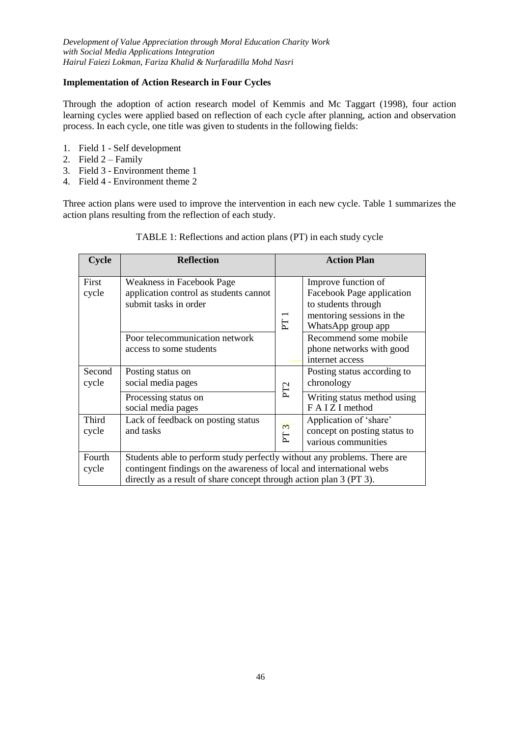# **Implementation of Action Research in Four Cycles**

Through the adoption of action research model of Kemmis and Mc Taggart (1998), four action learning cycles were applied based on reflection of each cycle after planning, action and observation process. In each cycle, one title was given to students in the following fields:

- 1. Field 1 Self development
- 2. Field  $2 Family$
- 3. Field 3 Environment theme 1
- 4. Field 4 Environment theme 2

Three action plans were used to improve the intervention in each new cycle. Table 1 summarizes the action plans resulting from the reflection of each study.

| Cycle           | <b>Reflection</b>                                                                                                                                                                                                       | <b>Action Plan</b> |                                                                                                                            |  |  |  |
|-----------------|-------------------------------------------------------------------------------------------------------------------------------------------------------------------------------------------------------------------------|--------------------|----------------------------------------------------------------------------------------------------------------------------|--|--|--|
| First<br>cycle  | Weakness in Facebook Page<br>application control as students cannot<br>submit tasks in order                                                                                                                            | PT1                | Improve function of<br>Facebook Page application<br>to students through<br>mentoring sessions in the<br>WhatsApp group app |  |  |  |
|                 | Poor telecommunication network<br>access to some students                                                                                                                                                               |                    | Recommend some mobile<br>phone networks with good<br>internet access                                                       |  |  |  |
| Second<br>cycle | Posting status on<br>social media pages                                                                                                                                                                                 | PT <sub>2</sub>    | Posting status according to<br>chronology                                                                                  |  |  |  |
|                 | Processing status on<br>social media pages                                                                                                                                                                              |                    | Writing status method using<br>FAIZI method                                                                                |  |  |  |
| Third<br>cycle  | Lack of feedback on posting status<br>and tasks                                                                                                                                                                         | PT3                | Application of 'share'<br>concept on posting status to<br>various communities                                              |  |  |  |
| Fourth<br>cycle | Students able to perform study perfectly without any problems. There are<br>contingent findings on the awareness of local and international webs<br>directly as a result of share concept through action plan 3 (PT 3). |                    |                                                                                                                            |  |  |  |

# TABLE 1: Reflections and action plans (PT) in each study cycle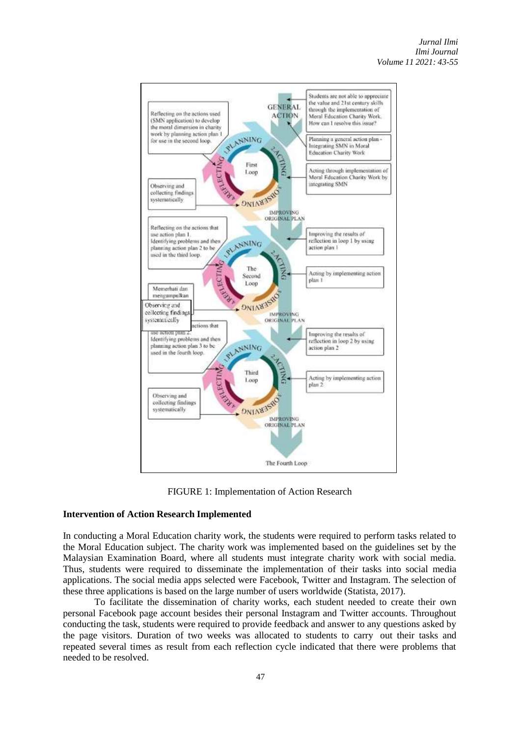

FIGURE 1: Implementation of Action Research

# **Intervention of Action Research Implemented**

In conducting a Moral Education charity work, the students were required to perform tasks related to the Moral Education subject. The charity work was implemented based on the guidelines set by the Malaysian Examination Board, where all students must integrate charity work with social media. Thus, students were required to disseminate the implementation of their tasks into social media applications. The social media apps selected were Facebook, Twitter and Instagram. The selection of these three applications is based on the large number of users worldwide (Statista, 2017).

To facilitate the dissemination of charity works, each student needed to create their own personal Facebook page account besides their personal Instagram and Twitter accounts. Throughout conducting the task, students were required to provide feedback and answer to any questions asked by the page visitors. Duration of two weeks was allocated to students to carry out their tasks and repeated several times as result from each reflection cycle indicated that there were problems that needed to be resolved.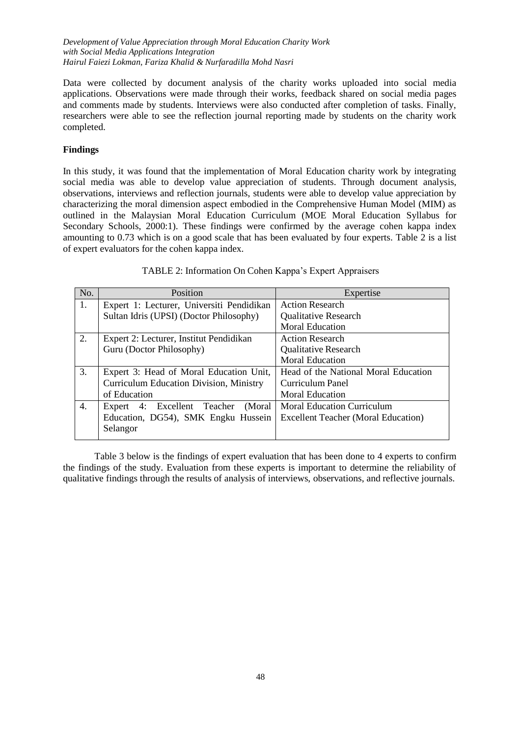Data were collected by document analysis of the charity works uploaded into social media applications. Observations were made through their works, feedback shared on social media pages and comments made by students. Interviews were also conducted after completion of tasks. Finally, researchers were able to see the reflection journal reporting made by students on the charity work completed.

## **Findings**

In this study, it was found that the implementation of Moral Education charity work by integrating social media was able to develop value appreciation of students. Through document analysis, observations, interviews and reflection journals, students were able to develop value appreciation by characterizing the moral dimension aspect embodied in the Comprehensive Human Model (MIM) as outlined in the Malaysian Moral Education Curriculum (MOE Moral Education Syllabus for Secondary Schools, 2000:1). These findings were confirmed by the average cohen kappa index amounting to 0.73 which is on a good scale that has been evaluated by four experts. Table 2 is a list of expert evaluators for the cohen kappa index.

| No. | Position                                       | Expertise                                  |  |  |
|-----|------------------------------------------------|--------------------------------------------|--|--|
| 1.  | Expert 1: Lecturer, Universiti Pendidikan      | <b>Action Research</b>                     |  |  |
|     | Sultan Idris (UPSI) (Doctor Philosophy)        | Qualitative Research                       |  |  |
|     |                                                | <b>Moral Education</b>                     |  |  |
| 2.  | Expert 2: Lecturer, Institut Pendidikan        | <b>Action Research</b>                     |  |  |
|     | Guru (Doctor Philosophy)                       | <b>Qualitative Research</b>                |  |  |
|     |                                                | <b>Moral Education</b>                     |  |  |
| 3.  | Expert 3: Head of Moral Education Unit,        | Head of the National Moral Education       |  |  |
|     | <b>Curriculum Education Division, Ministry</b> | Curriculum Panel                           |  |  |
|     | of Education                                   | <b>Moral Education</b>                     |  |  |
| 4.  | 4: Excellent Teacher<br>(Moral)<br>Expert      | <b>Moral Education Curriculum</b>          |  |  |
|     | Education, DG54), SMK Engku Hussein            | <b>Excellent Teacher (Moral Education)</b> |  |  |
|     | Selangor                                       |                                            |  |  |
|     |                                                |                                            |  |  |

TABLE 2: Information On Cohen Kappa's Expert Appraisers

Table 3 below is the findings of expert evaluation that has been done to 4 experts to confirm the findings of the study. Evaluation from these experts is important to determine the reliability of qualitative findings through the results of analysis of interviews, observations, and reflective journals.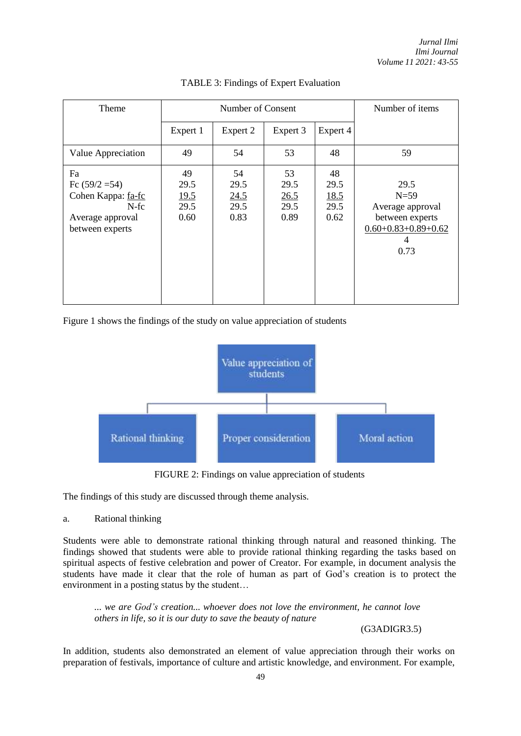| Theme                                                                                       | Number of Consent                         |                                    |                                    | Number of items                    |                                                                                             |
|---------------------------------------------------------------------------------------------|-------------------------------------------|------------------------------------|------------------------------------|------------------------------------|---------------------------------------------------------------------------------------------|
|                                                                                             | Expert 1                                  | Expert 2                           | Expert 3                           | Expert 4                           |                                                                                             |
| Value Appreciation                                                                          | 49                                        | 54                                 | 53                                 | 48                                 | 59                                                                                          |
| Fa<br>Fc $(59/2=54)$<br>Cohen Kappa: fa-fc<br>$N-fc$<br>Average approval<br>between experts | 49<br>29.5<br><u>19.5</u><br>29.5<br>0.60 | 54<br>29.5<br>24.5<br>29.5<br>0.83 | 53<br>29.5<br>26.5<br>29.5<br>0.89 | 48<br>29.5<br>18.5<br>29.5<br>0.62 | 29.5<br>$N=59$<br>Average approval<br>between experts<br>$0.60+0.83+0.89+0.62$<br>4<br>0.73 |

# TABLE 3: Findings of Expert Evaluation

Figure 1 shows the findings of the study on value appreciation of students



FIGURE 2: Findings on value appreciation of students

The findings of this study are discussed through theme analysis.

## a. Rational thinking

Students were able to demonstrate rational thinking through natural and reasoned thinking. The findings showed that students were able to provide rational thinking regarding the tasks based on spiritual aspects of festive celebration and power of Creator. For example, in document analysis the students have made it clear that the role of human as part of God's creation is to protect the environment in a posting status by the student…

*... we are God's creation... whoever does not love the environment, he cannot love others in life, so it is our duty to save the beauty of nature*

(G3ADIGR3.5)

In addition, students also demonstrated an element of value appreciation through their works on preparation of festivals, importance of culture and artistic knowledge, and environment. For example,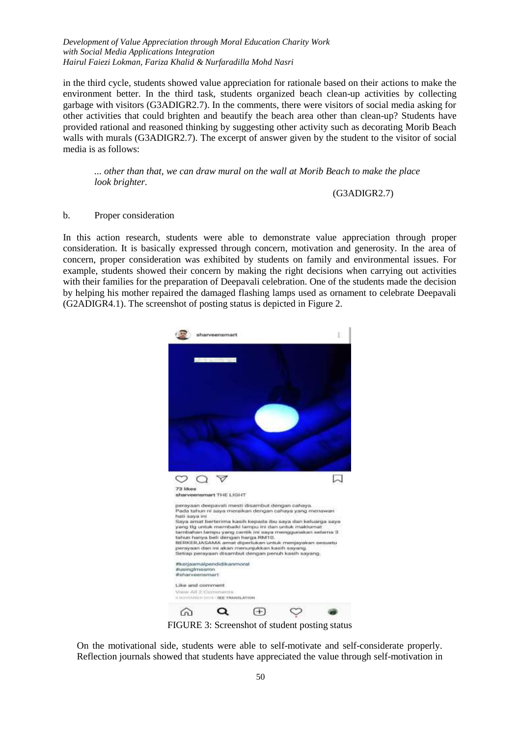in the third cycle, students showed value appreciation for rationale based on their actions to make the environment better. In the third task, students organized beach clean-up activities by collecting garbage with visitors (G3ADIGR2.7). In the comments, there were visitors of social media asking for other activities that could brighten and beautify the beach area other than clean-up? Students have provided rational and reasoned thinking by suggesting other activity such as decorating Morib Beach walls with murals (G3ADIGR2.7). The excerpt of answer given by the student to the visitor of social media is as follows:

*... other than that, we can draw mural on the wall at Morib Beach to make the place look brighter.*

#### (G3ADIGR2.7)

## b. Proper consideration

In this action research, students were able to demonstrate value appreciation through proper consideration. It is basically expressed through concern, motivation and generosity. In the area of concern, proper consideration was exhibited by students on family and environmental issues. For example, students showed their concern by making the right decisions when carrying out activities with their families for the preparation of Deepavali celebration. One of the students made the decision by helping his mother repaired the damaged flashing lamps used as ornament to celebrate Deepavali (G2ADIGR4.1). The screenshot of posting status is depicted in Figure 2.



FIGURE 3: Screenshot of student posting status

On the motivational side, students were able to self-motivate and self-considerate properly. Reflection journals showed that students have appreciated the value through self-motivation in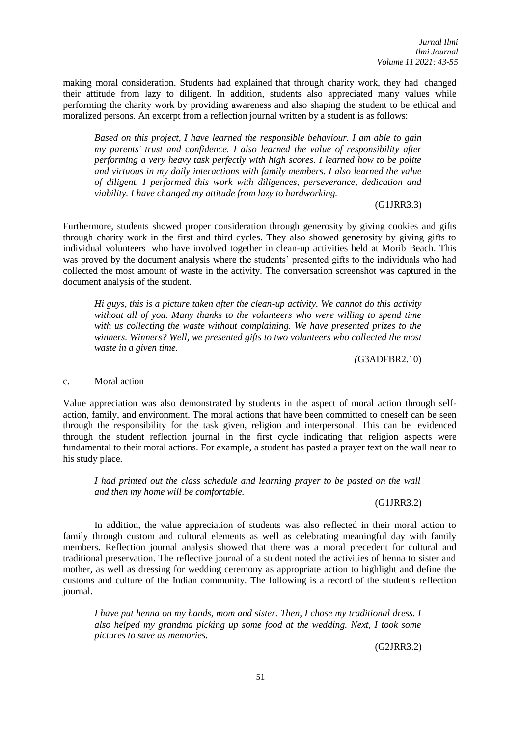making moral consideration. Students had explained that through charity work, they had changed their attitude from lazy to diligent. In addition, students also appreciated many values while performing the charity work by providing awareness and also shaping the student to be ethical and moralized persons. An excerpt from a reflection journal written by a student is as follows:

*Based on this project, I have learned the responsible behaviour. I am able to gain my parents' trust and confidence. I also learned the value of responsibility after performing a very heavy task perfectly with high scores. I learned how to be polite and virtuous in my daily interactions with family members. I also learned the value of diligent. I performed this work with diligences, perseverance, dedication and viability. I have changed my attitude from lazy to hardworking.*

### (G1JRR3.3)

Furthermore, students showed proper consideration through generosity by giving cookies and gifts through charity work in the first and third cycles. They also showed generosity by giving gifts to individual volunteers who have involved together in clean-up activities held at Morib Beach. This was proved by the document analysis where the students' presented gifts to the individuals who had collected the most amount of waste in the activity. The conversation screenshot was captured in the document analysis of the student.

*Hi guys, this is a picture taken after the clean-up activity. We cannot do this activity without all of you. Many thanks to the volunteers who were willing to spend time with us collecting the waste without complaining. We have presented prizes to the winners. Winners? Well, we presented gifts to two volunteers who collected the most waste in a given time.*

*(*G3ADFBR2.10)

#### c. Moral action

Value appreciation was also demonstrated by students in the aspect of moral action through selfaction, family, and environment. The moral actions that have been committed to oneself can be seen through the responsibility for the task given, religion and interpersonal. This can be evidenced through the student reflection journal in the first cycle indicating that religion aspects were fundamental to their moral actions. For example, a student has pasted a prayer text on the wall near to his study place.

*I had printed out the class schedule and learning prayer to be pasted on the wall and then my home will be comfortable.*

## (G1JRR3.2)

In addition, the value appreciation of students was also reflected in their moral action to family through custom and cultural elements as well as celebrating meaningful day with family members. Reflection journal analysis showed that there was a moral precedent for cultural and traditional preservation. The reflective journal of a student noted the activities of henna to sister and mother, as well as dressing for wedding ceremony as appropriate action to highlight and define the customs and culture of the Indian community. The following is a record of the student's reflection journal.

*I have put henna on my hands, mom and sister. Then, I chose my traditional dress. I also helped my grandma picking up some food at the wedding. Next, I took some pictures to save as memories.*

(G2JRR3.2)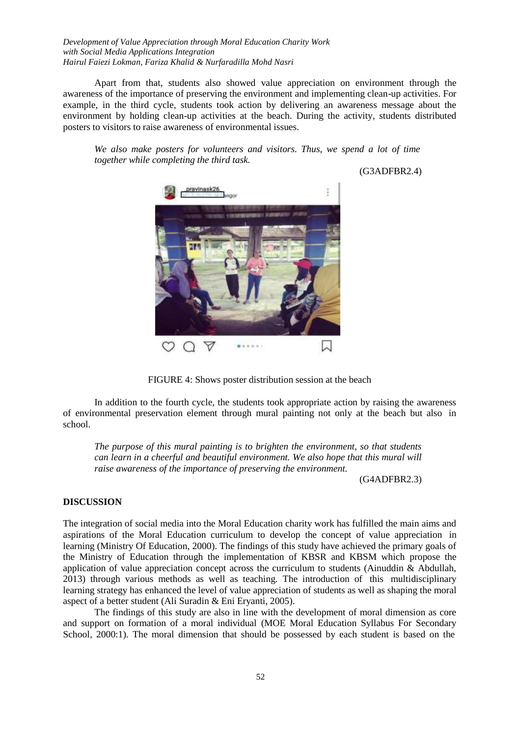Apart from that, students also showed value appreciation on environment through the awareness of the importance of preserving the environment and implementing clean-up activities. For example, in the third cycle, students took action by delivering an awareness message about the environment by holding clean-up activities at the beach. During the activity, students distributed posters to visitors to raise awareness of environmental issues.

*We also make posters for volunteers and visitors. Thus, we spend a lot of time together while completing the third task.*

(G3ADFBR2.4)



FIGURE 4: Shows poster distribution session at the beach

In addition to the fourth cycle, the students took appropriate action by raising the awareness of environmental preservation element through mural painting not only at the beach but also in school.

*The purpose of this mural painting is to brighten the environment, so that students can learn in a cheerful and beautiful environment. We also hope that this mural will raise awareness of the importance of preserving the environment.*

(G4ADFBR2.3)

#### **DISCUSSION**

The integration of social media into the Moral Education charity work has fulfilled the main aims and aspirations of the Moral Education curriculum to develop the concept of value appreciation in learning (Ministry Of Education, 2000). The findings of this study have achieved the primary goals of the Ministry of Education through the implementation of KBSR and KBSM which propose the application of value appreciation concept across the curriculum to students (Ainuddin & Abdullah, 2013) through various methods as well as teaching. The introduction of this multidisciplinary learning strategy has enhanced the level of value appreciation of students as well as shaping the moral aspect of a better student (Ali Suradin & Eni Eryanti, 2005).

The findings of this study are also in line with the development of moral dimension as core and support on formation of a moral individual (MOE Moral Education Syllabus For Secondary School, 2000:1). The moral dimension that should be possessed by each student is based on the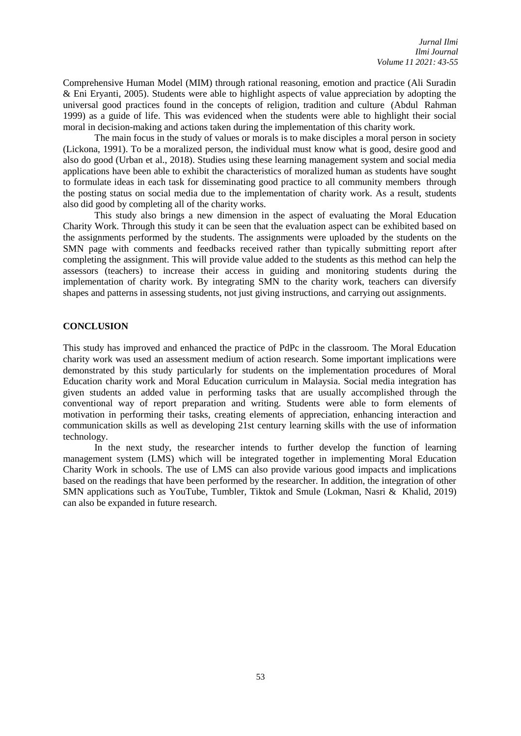Comprehensive Human Model (MIM) through rational reasoning, emotion and practice (Ali Suradin & Eni Eryanti, 2005). Students were able to highlight aspects of value appreciation by adopting the universal good practices found in the concepts of religion, tradition and culture (Abdul Rahman 1999) as a guide of life. This was evidenced when the students were able to highlight their social moral in decision-making and actions taken during the implementation of this charity work.

The main focus in the study of values or morals is to make disciples a moral person in society (Lickona, 1991). To be a moralized person, the individual must know what is good, desire good and also do good (Urban et al., 2018). Studies using these learning management system and social media applications have been able to exhibit the characteristics of moralized human as students have sought to formulate ideas in each task for disseminating good practice to all community members through the posting status on social media due to the implementation of charity work. As a result, students also did good by completing all of the charity works.

This study also brings a new dimension in the aspect of evaluating the Moral Education Charity Work. Through this study it can be seen that the evaluation aspect can be exhibited based on the assignments performed by the students. The assignments were uploaded by the students on the SMN page with comments and feedbacks received rather than typically submitting report after completing the assignment. This will provide value added to the students as this method can help the assessors (teachers) to increase their access in guiding and monitoring students during the implementation of charity work. By integrating SMN to the charity work, teachers can diversify shapes and patterns in assessing students, not just giving instructions, and carrying out assignments.

## **CONCLUSION**

This study has improved and enhanced the practice of PdPc in the classroom. The Moral Education charity work was used an assessment medium of action research. Some important implications were demonstrated by this study particularly for students on the implementation procedures of Moral Education charity work and Moral Education curriculum in Malaysia. Social media integration has given students an added value in performing tasks that are usually accomplished through the conventional way of report preparation and writing. Students were able to form elements of motivation in performing their tasks, creating elements of appreciation, enhancing interaction and communication skills as well as developing 21st century learning skills with the use of information technology.

In the next study, the researcher intends to further develop the function of learning management system (LMS) which will be integrated together in implementing Moral Education Charity Work in schools. The use of LMS can also provide various good impacts and implications based on the readings that have been performed by the researcher. In addition, the integration of other SMN applications such as YouTube, Tumbler, Tiktok and Smule (Lokman, Nasri & Khalid, 2019) can also be expanded in future research.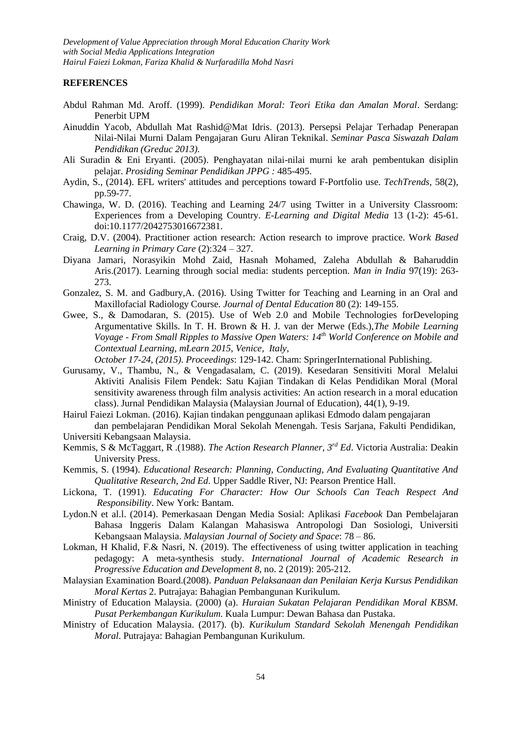# **REFERENCES**

- Abdul Rahman Md. Aroff. (1999). *Pendidikan Moral: Teori Etika dan Amalan Moral*. Serdang: Penerbit UPM
- Ainuddin Yacob, Abdullah Mat Rashid@Mat Idris. (2013). Persepsi Pelajar Terhadap Penerapan Nilai-Nilai Murni Dalam Pengajaran Guru Aliran Teknikal. *Seminar Pasca Siswazah Dalam Pendidikan (Greduc 2013).*
- Ali Suradin & Eni Eryanti. (2005). Penghayatan nilai-nilai murni ke arah pembentukan disiplin pelajar. *Prosiding Seminar Pendidikan JPPG :* 485-495.
- Aydin, S., (2014). EFL writers' attitudes and perceptions toward F-Portfolio use. *TechTrends,* 58(2), pp.59-77.
- Chawinga, W. D. (2016). Teaching and Learning 24/7 using Twitter in a University Classroom: Experiences from a Developing Country. *E-Learning and Digital Media* 13 (1-2): 45-61. doi:10.1177/2042753016672381.
- Craig, D.V. (2004). Practitioner action research: Action research to improve practice. Wo*rk Based Learning in Primary Care* (2):324 – 327.
- Diyana Jamari, Norasyikin Mohd Zaid, Hasnah Mohamed, Zaleha Abdullah & Baharuddin Aris.(2017). Learning through social media: students perception. *Man in India* 97(19): 263- 273.
- Gonzalez, S. M. and Gadbury,A. (2016). Using Twitter for Teaching and Learning in an Oral and Maxillofacial Radiology Course. *Journal of Dental Education* 80 (2): 149-155.
- Gwee, S., & Damodaran, S. (2015). Use of Web 2.0 and Mobile Technologies forDeveloping Argumentative Skills. In T. H. Brown & H. J. van der Merwe (Eds.),*The Mobile Learning Voyage - From Small Ripples to Massive Open Waters: 14th World Conference on Mobile and Contextual Learning, mLearn 2015, Venice, Italy,*

*October 17-24, (2015). Proceedings*: 129-142. Cham: SpringerInternational Publishing.

Gurusamy, V., Thambu, N., & Vengadasalam, C. (2019). Kesedaran Sensitiviti Moral Melalui Aktiviti Analisis Filem Pendek: Satu Kajian Tindakan di Kelas Pendidikan Moral (Moral sensitivity awareness through film analysis activities: An action research in a moral education class). Jurnal Pendidikan Malaysia (Malaysian Journal of Education), 44(1), 9-19.

Hairul Faiezi Lokman. (2016). Kajian tindakan penggunaan aplikasi Edmodo dalam pengajaran dan pembelajaran Pendidikan Moral Sekolah Menengah. Tesis Sarjana, Fakulti Pendidikan, Universiti Kebangsaan Malaysia.

- Kemmis, S & McTaggart, R .(1988). *The Action Research Planner, 3rd Ed*. Victoria Australia: Deakin University Press.
- Kemmis, S. (1994). *Educational Research: Planning, Conducting, And Evaluating Quantitative And Qualitative Research, 2nd Ed*. Upper Saddle River, NJ: Pearson Prentice Hall.
- Lickona, T. (1991). *Educating For Character: How Our Schools Can Teach Respect And Responsibility*. New York: Bantam.
- Lydon.N et al.l. (2014). Pemerkasaan Dengan Media Sosial: Aplikasi *Facebook* Dan Pembelajaran Bahasa Inggeris Dalam Kalangan Mahasiswa Antropologi Dan Sosiologi, Universiti Kebangsaan Malaysia. *Malaysian Journal of Society and Space*: 78 – 86.
- Lokman, H Khalid, F.& Nasri, N. (2019). The effectiveness of using twitter application in teaching pedagogy: A meta-synthesis study. *International Journal of Academic Research in Progressive Education and Development 8*, no. 2 (2019): 205-212.
- Malaysian Examination Board.(2008). *Panduan Pelaksanaan dan Penilaian Kerja Kursus Pendidikan Moral Kertas* 2. Putrajaya: Bahagian Pembangunan Kurikulum.
- Ministry of Education Malaysia. (2000) (a). *Huraian Sukatan Pelajaran Pendidikan Moral KBSM. Pusat Perkembangan Kurikulum.* Kuala Lumpur: Dewan Bahasa dan Pustaka.
- Ministry of Education Malaysia. (2017). (b). *Kurikulum Standard Sekolah Menengah Pendidikan Moral*. Putrajaya: Bahagian Pembangunan Kurikulum.